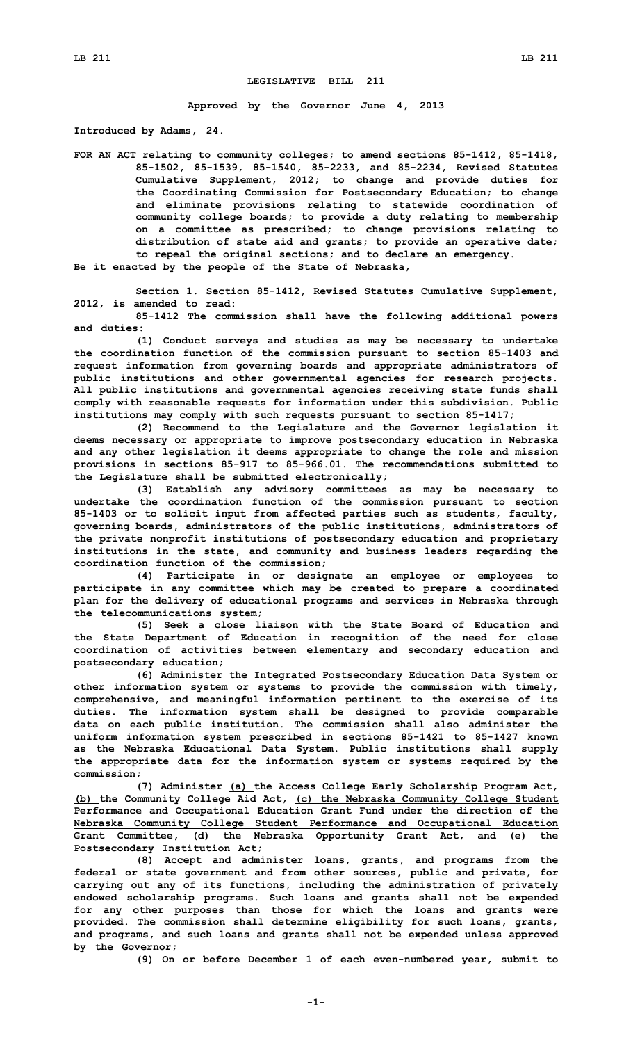## **LEGISLATIVE BILL 211**

**Approved by the Governor June 4, 2013**

**Introduced by Adams, 24.**

**FOR AN ACT relating to community colleges; to amend sections 85-1412, 85-1418, 85-1502, 85-1539, 85-1540, 85-2233, and 85-2234, Revised Statutes Cumulative Supplement, 2012; to change and provide duties for the Coordinating Commission for Postsecondary Education; to change and eliminate provisions relating to statewide coordination of community college boards; to provide <sup>a</sup> duty relating to membership on <sup>a</sup> committee as prescribed; to change provisions relating to distribution of state aid and grants; to provide an operative date; to repeal the original sections; and to declare an emergency.**

**Be it enacted by the people of the State of Nebraska,**

**Section 1. Section 85-1412, Revised Statutes Cumulative Supplement, 2012, is amended to read:**

**85-1412 The commission shall have the following additional powers and duties:**

**(1) Conduct surveys and studies as may be necessary to undertake the coordination function of the commission pursuant to section 85-1403 and request information from governing boards and appropriate administrators of public institutions and other governmental agencies for research projects. All public institutions and governmental agencies receiving state funds shall comply with reasonable requests for information under this subdivision. Public institutions may comply with such requests pursuant to section 85-1417;**

**(2) Recommend to the Legislature and the Governor legislation it deems necessary or appropriate to improve postsecondary education in Nebraska and any other legislation it deems appropriate to change the role and mission provisions in sections 85-917 to 85-966.01. The recommendations submitted to the Legislature shall be submitted electronically;**

**(3) Establish any advisory committees as may be necessary to undertake the coordination function of the commission pursuant to section 85-1403 or to solicit input from affected parties such as students, faculty, governing boards, administrators of the public institutions, administrators of the private nonprofit institutions of postsecondary education and proprietary institutions in the state, and community and business leaders regarding the coordination function of the commission;**

**(4) Participate in or designate an employee or employees to participate in any committee which may be created to prepare <sup>a</sup> coordinated plan for the delivery of educational programs and services in Nebraska through the telecommunications system;**

**(5) Seek <sup>a</sup> close liaison with the State Board of Education and the State Department of Education in recognition of the need for close coordination of activities between elementary and secondary education and postsecondary education;**

**(6) Administer the Integrated Postsecondary Education Data System or other information system or systems to provide the commission with timely, comprehensive, and meaningful information pertinent to the exercise of its duties. The information system shall be designed to provide comparable data on each public institution. The commission shall also administer the uniform information system prescribed in sections 85-1421 to 85-1427 known as the Nebraska Educational Data System. Public institutions shall supply the appropriate data for the information system or systems required by the commission;**

**(7) Administer (a) the Access College Early Scholarship Program Act, (b) the Community College Aid Act, (c) the Nebraska Community College Student Performance and Occupational Education Grant Fund under the direction of the Nebraska Community College Student Performance and Occupational Education Grant Committee, (d) the Nebraska Opportunity Grant Act, and (e) the Postsecondary Institution Act;**

**(8) Accept and administer loans, grants, and programs from the federal or state government and from other sources, public and private, for carrying out any of its functions, including the administration of privately endowed scholarship programs. Such loans and grants shall not be expended for any other purposes than those for which the loans and grants were provided. The commission shall determine eligibility for such loans, grants, and programs, and such loans and grants shall not be expended unless approved by the Governor;**

**(9) On or before December 1 of each even-numbered year, submit to**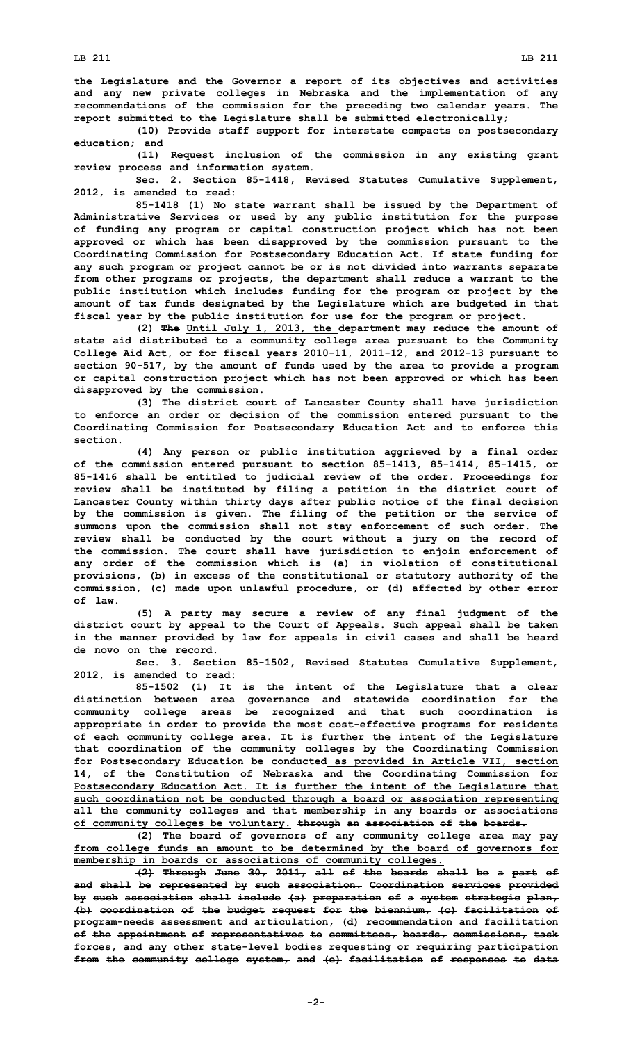**the Legislature and the Governor <sup>a</sup> report of its objectives and activities and any new private colleges in Nebraska and the implementation of any recommendations of the commission for the preceding two calendar years. The report submitted to the Legislature shall be submitted electronically;**

**(10) Provide staff support for interstate compacts on postsecondary education; and**

**(11) Request inclusion of the commission in any existing grant review process and information system.**

**Sec. 2. Section 85-1418, Revised Statutes Cumulative Supplement, 2012, is amended to read:**

**85-1418 (1) No state warrant shall be issued by the Department of Administrative Services or used by any public institution for the purpose of funding any program or capital construction project which has not been approved or which has been disapproved by the commission pursuant to the Coordinating Commission for Postsecondary Education Act. If state funding for any such program or project cannot be or is not divided into warrants separate from other programs or projects, the department shall reduce <sup>a</sup> warrant to the public institution which includes funding for the program or project by the amount of tax funds designated by the Legislature which are budgeted in that fiscal year by the public institution for use for the program or project.**

**(2) The Until July 1, 2013, the department may reduce the amount of state aid distributed to <sup>a</sup> community college area pursuant to the Community College Aid Act, or for fiscal years 2010-11, 2011-12, and 2012-13 pursuant to section 90-517, by the amount of funds used by the area to provide <sup>a</sup> program or capital construction project which has not been approved or which has been disapproved by the commission.**

**(3) The district court of Lancaster County shall have jurisdiction to enforce an order or decision of the commission entered pursuant to the Coordinating Commission for Postsecondary Education Act and to enforce this section.**

**(4) Any person or public institution aggrieved by <sup>a</sup> final order of the commission entered pursuant to section 85-1413, 85-1414, 85-1415, or 85-1416 shall be entitled to judicial review of the order. Proceedings for review shall be instituted by filing <sup>a</sup> petition in the district court of Lancaster County within thirty days after public notice of the final decision by the commission is given. The filing of the petition or the service of summons upon the commission shall not stay enforcement of such order. The review shall be conducted by the court without <sup>a</sup> jury on the record of the commission. The court shall have jurisdiction to enjoin enforcement of any order of the commission which is (a) in violation of constitutional provisions, (b) in excess of the constitutional or statutory authority of the commission, (c) made upon unlawful procedure, or (d) affected by other error of law.**

**(5) <sup>A</sup> party may secure <sup>a</sup> review of any final judgment of the district court by appeal to the Court of Appeals. Such appeal shall be taken in the manner provided by law for appeals in civil cases and shall be heard de novo on the record.**

**Sec. 3. Section 85-1502, Revised Statutes Cumulative Supplement, 2012, is amended to read:**

**85-1502 (1) It is the intent of the Legislature that <sup>a</sup> clear distinction between area governance and statewide coordination for the community college areas be recognized and that such coordination is appropriate in order to provide the most cost-effective programs for residents of each community college area. It is further the intent of the Legislature that coordination of the community colleges by the Coordinating Commission for Postsecondary Education be conducted as provided in Article VII, section 14, of the Constitution of Nebraska and the Coordinating Commission for Postsecondary Education Act. It is further the intent of the Legislature that such coordination not be conducted through <sup>a</sup> board or association representing all the community colleges and that membership in any boards or associations of community colleges be voluntary. through an association of the boards.**

**(2) The board of governors of any community college area may pay from college funds an amount to be determined by the board of governors for membership in boards or associations of community colleges.**

**(2) Through June 30, 2011, all of the boards shall be <sup>a</sup> part of and shall be represented by such association. Coordination services provided by such association shall include (a) preparation of <sup>a</sup> system strategic plan, (b) coordination of the budget request for the biennium, (c) facilitation of program-needs assessment and articulation, (d) recommendation and facilitation of the appointment of representatives to committees, boards, commissions, task forces, and any other state-level bodies requesting or requiring participation from the community college system, and (e) facilitation of responses to data**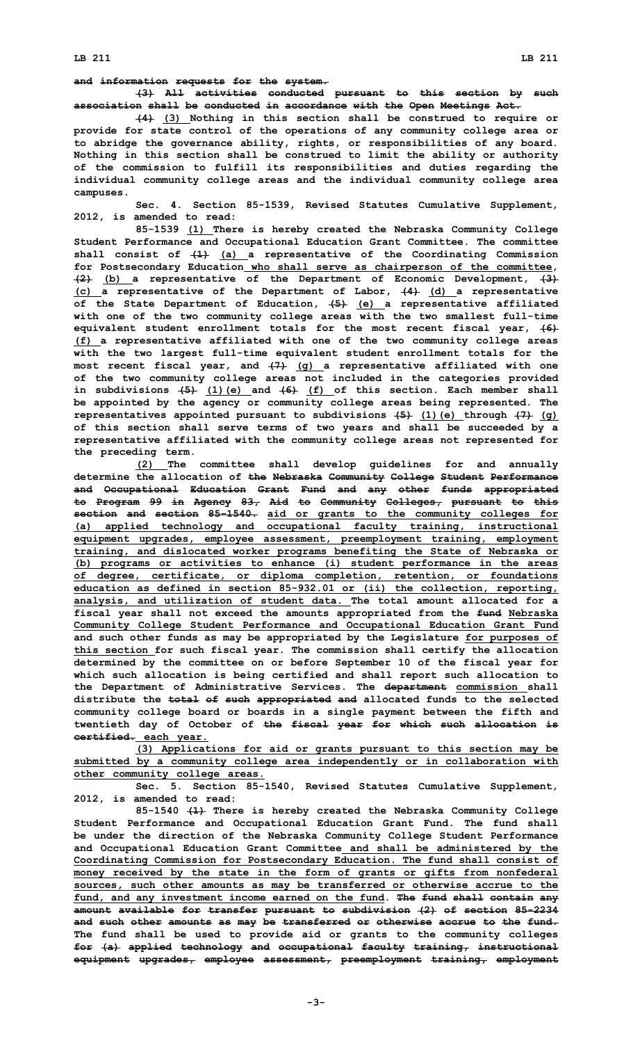**(3) All activities conducted pursuant to this section by such association shall be conducted in accordance with the Open Meetings Act.**

**(4) (3) Nothing in this section shall be construed to require or provide for state control of the operations of any community college area or to abridge the governance ability, rights, or responsibilities of any board. Nothing in this section shall be construed to limit the ability or authority of the commission to fulfill its responsibilities and duties regarding the individual community college areas and the individual community college area campuses.**

**Sec. 4. Section 85-1539, Revised Statutes Cumulative Supplement, 2012, is amended to read:**

**85-1539 (1) There is hereby created the Nebraska Community College Student Performance and Occupational Education Grant Committee. The committee shall consist of (1) (a) <sup>a</sup> representative of the Coordinating Commission for Postsecondary Education who shall serve as chairperson of the committee, (2) (b) <sup>a</sup> representative of the Department of Economic Development, (3) (c) <sup>a</sup> representative of the Department of Labor, (4) (d) <sup>a</sup> representative of the State Department of Education, (5) (e) <sup>a</sup> representative affiliated with one of the two community college areas with the two smallest full-time equivalent student enrollment totals for the most recent fiscal year, (6) (f) <sup>a</sup> representative affiliated with one of the two community college areas with the two largest full-time equivalent student enrollment totals for the most recent fiscal year, and (7) (g) <sup>a</sup> representative affiliated with one of the two community college areas not included in the categories provided in subdivisions (5) (1)(e) and (6) (f) of this section. Each member shall be appointed by the agency or community college areas being represented. The representatives appointed pursuant to subdivisions (5) (1)(e) through (7) (g) of this section shall serve terms of two years and shall be succeeded by <sup>a</sup> representative affiliated with the community college areas not represented for the preceding term.**

**(2) The committee shall develop guidelines for and annually determine the allocation of the Nebraska Community College Student Performance and Occupational Education Grant Fund and any other funds appropriated to Program 99 in Agency 83, Aid to Community Colleges, pursuant to this section and section 85-1540. aid or grants to the community colleges for (a) applied technology and occupational faculty training, instructional equipment upgrades, employee assessment, preemployment training, employment training, and dislocated worker programs benefiting the State of Nebraska or (b) programs or activities to enhance (i) student performance in the areas of degree, certificate, or diploma completion, retention, or foundations education as defined in section 85-932.01 or (ii) the collection, reporting, analysis, and utilization of student data. The total amount allocated for <sup>a</sup> fiscal year shall not exceed the amounts appropriated from the fund Nebraska Community College Student Performance and Occupational Education Grant Fund and such other funds as may be appropriated by the Legislature for purposes of this section for such fiscal year. The commission shall certify the allocation determined by the committee on or before September 10 of the fiscal year for which such allocation is being certified and shall report such allocation to the Department of Administrative Services. The department commission shall distribute the total of such appropriated and allocated funds to the selected community college board or boards in <sup>a</sup> single payment between the fifth and twentieth day of October of the fiscal year for which such allocation is certified. each year.**

**(3) Applications for aid or grants pursuant to this section may be submitted by <sup>a</sup> community college area independently or in collaboration with other community college areas.**

**Sec. 5. Section 85-1540, Revised Statutes Cumulative Supplement, 2012, is amended to read:**

**85-1540 (1) There is hereby created the Nebraska Community College Student Performance and Occupational Education Grant Fund. The fund shall be under the direction of the Nebraska Community College Student Performance and Occupational Education Grant Committee and shall be administered by the Coordinating Commission for Postsecondary Education. The fund shall consist of money received by the state in the form of grants or gifts from nonfederal sources, such other amounts as may be transferred or otherwise accrue to the fund, and any investment income earned on the fund. The fund shall contain any amount available for transfer pursuant to subdivision (2) of section 85-2234 and such other amounts as may be transferred or otherwise accrue to the fund. The fund shall be used to provide aid or grants to the community colleges for (a) applied technology and occupational faculty training, instructional equipment upgrades, employee assessment, preemployment training, employment**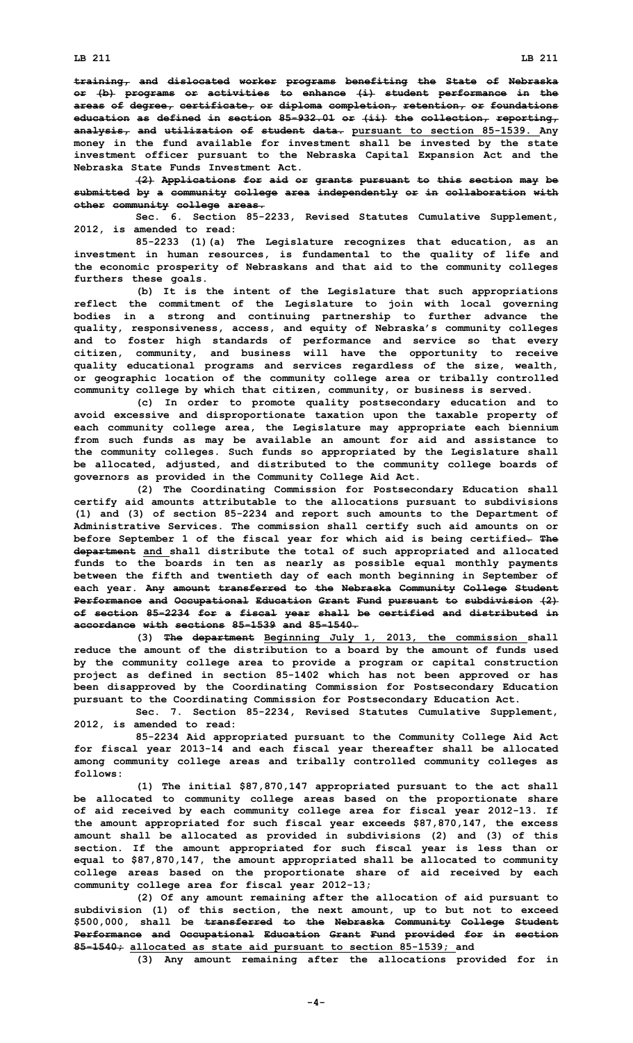**training, and dislocated worker programs benefiting the State of Nebraska or (b) programs or activities to enhance (i) student performance in the areas of degree, certificate, or diploma completion, retention, or foundations education as defined in section 85-932.01 or (ii) the collection, reporting, analysis, and utilization of student data. pursuant to section 85-1539. Any money in the fund available for investment shall be invested by the state investment officer pursuant to the Nebraska Capital Expansion Act and the Nebraska State Funds Investment Act.**

**(2) Applications for aid or grants pursuant to this section may be submitted by <sup>a</sup> community college area independently or in collaboration with other community college areas.**

**Sec. 6. Section 85-2233, Revised Statutes Cumulative Supplement, 2012, is amended to read:**

**85-2233 (1)(a) The Legislature recognizes that education, as an investment in human resources, is fundamental to the quality of life and the economic prosperity of Nebraskans and that aid to the community colleges furthers these goals.**

**(b) It is the intent of the Legislature that such appropriations reflect the commitment of the Legislature to join with local governing bodies in <sup>a</sup> strong and continuing partnership to further advance the quality, responsiveness, access, and equity of Nebraska's community colleges and to foster high standards of performance and service so that every citizen, community, and business will have the opportunity to receive quality educational programs and services regardless of the size, wealth, or geographic location of the community college area or tribally controlled community college by which that citizen, community, or business is served.**

**(c) In order to promote quality postsecondary education and to avoid excessive and disproportionate taxation upon the taxable property of each community college area, the Legislature may appropriate each biennium from such funds as may be available an amount for aid and assistance to the community colleges. Such funds so appropriated by the Legislature shall be allocated, adjusted, and distributed to the community college boards of governors as provided in the Community College Aid Act.**

**(2) The Coordinating Commission for Postsecondary Education shall certify aid amounts attributable to the allocations pursuant to subdivisions (1) and (3) of section 85-2234 and report such amounts to the Department of Administrative Services. The commission shall certify such aid amounts on or before September 1 of the fiscal year for which aid is being certified. The department and shall distribute the total of such appropriated and allocated funds to the boards in ten as nearly as possible equal monthly payments between the fifth and twentieth day of each month beginning in September of each year. Any amount transferred to the Nebraska Community College Student Performance and Occupational Education Grant Fund pursuant to subdivision (2) of section 85-2234 for <sup>a</sup> fiscal year shall be certified and distributed in accordance with sections 85-1539 and 85-1540.**

**(3) The department Beginning July 1, 2013, the commission shall reduce the amount of the distribution to <sup>a</sup> board by the amount of funds used by the community college area to provide <sup>a</sup> program or capital construction project as defined in section 85-1402 which has not been approved or has been disapproved by the Coordinating Commission for Postsecondary Education pursuant to the Coordinating Commission for Postsecondary Education Act.**

**Sec. 7. Section 85-2234, Revised Statutes Cumulative Supplement, 2012, is amended to read:**

**85-2234 Aid appropriated pursuant to the Community College Aid Act for fiscal year 2013-14 and each fiscal year thereafter shall be allocated among community college areas and tribally controlled community colleges as follows:**

**(1) The initial \$87,870,147 appropriated pursuant to the act shall be allocated to community college areas based on the proportionate share of aid received by each community college area for fiscal year 2012-13. If the amount appropriated for such fiscal year exceeds \$87,870,147, the excess amount shall be allocated as provided in subdivisions (2) and (3) of this section. If the amount appropriated for such fiscal year is less than or equal to \$87,870,147, the amount appropriated shall be allocated to community college areas based on the proportionate share of aid received by each community college area for fiscal year 2012-13;**

**(2) Of any amount remaining after the allocation of aid pursuant to subdivision (1) of this section, the next amount, up to but not to exceed \$500,000, shall be transferred to the Nebraska Community College Student Performance and Occupational Education Grant Fund provided for in section 85-1540; allocated as state aid pursuant to section 85-1539; and**

**(3) Any amount remaining after the allocations provided for in**